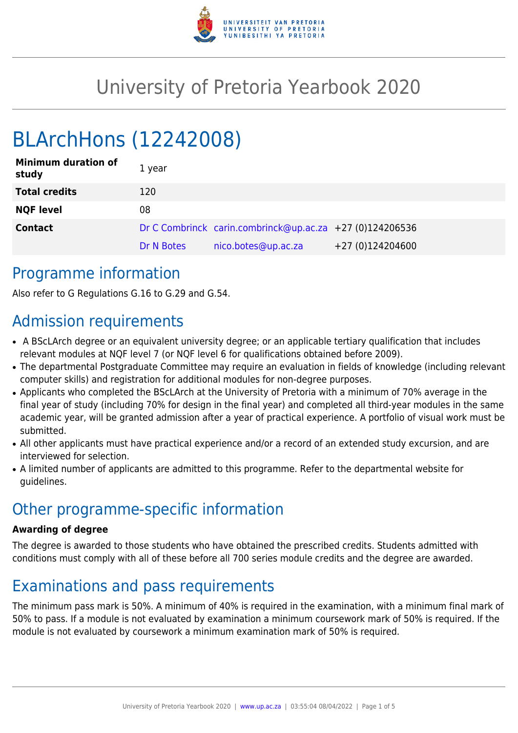

# University of Pretoria Yearbook 2020

# BLArchHons (12242008)

| <b>Minimum duration of</b><br>study | 1 year     |                                                          |                  |
|-------------------------------------|------------|----------------------------------------------------------|------------------|
| <b>Total credits</b>                | 120        |                                                          |                  |
| <b>NQF level</b>                    | 08         |                                                          |                  |
| <b>Contact</b>                      |            | Dr C Combrinck carin.combrinck@up.ac.za +27 (0)124206536 |                  |
|                                     | Dr N Botes | nico.botes@up.ac.za                                      | +27 (0)124204600 |

## Programme information

Also refer to G Regulations G.16 to G.29 and G.54.

# Admission requirements

- A BScLArch degree or an equivalent university degree; or an applicable tertiary qualification that includes relevant modules at NQF level 7 (or NQF level 6 for qualifications obtained before 2009).
- The departmental Postgraduate Committee may require an evaluation in fields of knowledge (including relevant computer skills) and registration for additional modules for non-degree purposes.
- Applicants who completed the BScLArch at the University of Pretoria with a minimum of 70% average in the final year of study (including 70% for design in the final year) and completed all third-year modules in the same academic year, will be granted admission after a year of practical experience. A portfolio of visual work must be submitted.
- All other applicants must have practical experience and/or a record of an extended study excursion, and are interviewed for selection.
- A limited number of applicants are admitted to this programme. Refer to the departmental website for guidelines.

# Other programme-specific information

#### **Awarding of degree**

The degree is awarded to those students who have obtained the prescribed credits. Students admitted with conditions must comply with all of these before all 700 series module credits and the degree are awarded.

# Examinations and pass requirements

The minimum pass mark is 50%. A minimum of 40% is required in the examination, with a minimum final mark of 50% to pass. If a module is not evaluated by examination a minimum coursework mark of 50% is required. If the module is not evaluated by coursework a minimum examination mark of 50% is required.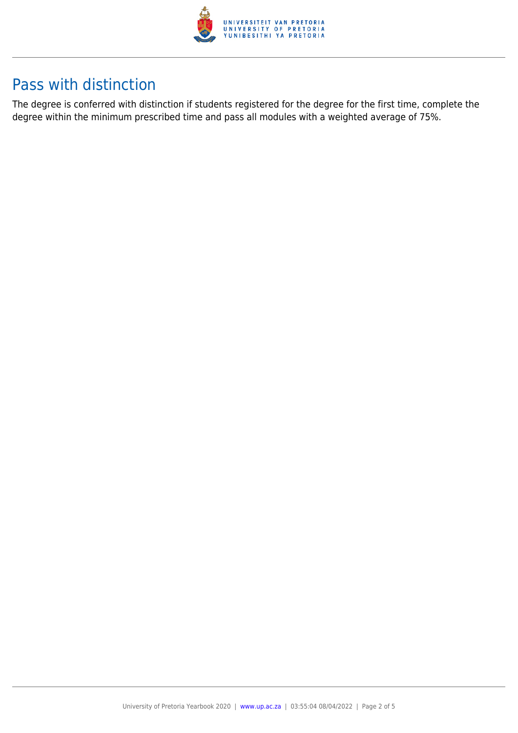

# Pass with distinction

The degree is conferred with distinction if students registered for the degree for the first time, complete the degree within the minimum prescribed time and pass all modules with a weighted average of 75%.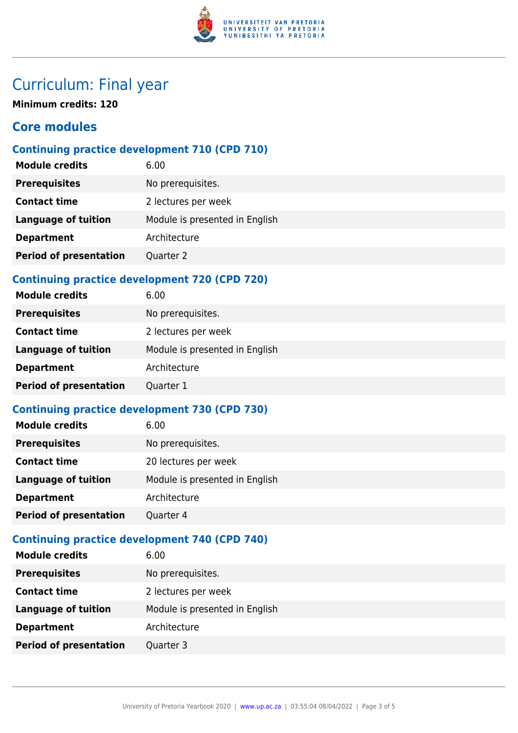

# Curriculum: Final year

**Minimum credits: 120**

### **Core modules**

### **Continuing practice development 710 (CPD 710)**

| <b>Module credits</b>         | 6.00                           |
|-------------------------------|--------------------------------|
| <b>Prerequisites</b>          | No prerequisites.              |
| <b>Contact time</b>           | 2 lectures per week            |
| <b>Language of tuition</b>    | Module is presented in English |
| <b>Department</b>             | Architecture                   |
| <b>Period of presentation</b> | Quarter 2                      |

### **Continuing practice development 720 (CPD 720)**

| <b>Module credits</b>         | 6.00                           |
|-------------------------------|--------------------------------|
| <b>Prerequisites</b>          | No prerequisites.              |
| <b>Contact time</b>           | 2 lectures per week            |
| Language of tuition           | Module is presented in English |
| <b>Department</b>             | Architecture                   |
| <b>Period of presentation</b> | Quarter 1                      |

### **Continuing practice development 730 (CPD 730)**

| <b>Module credits</b>         | 6.00                           |
|-------------------------------|--------------------------------|
| <b>Prerequisites</b>          | No prerequisites.              |
| <b>Contact time</b>           | 20 lectures per week           |
| <b>Language of tuition</b>    | Module is presented in English |
| <b>Department</b>             | Architecture                   |
| <b>Period of presentation</b> | Quarter 4                      |
|                               |                                |

### **Continuing practice development 740 (CPD 740)**

| <b>Module credits</b>         | 6.00                           |
|-------------------------------|--------------------------------|
| <b>Prerequisites</b>          | No prerequisites.              |
| <b>Contact time</b>           | 2 lectures per week            |
| <b>Language of tuition</b>    | Module is presented in English |
| <b>Department</b>             | Architecture                   |
| <b>Period of presentation</b> | Quarter 3                      |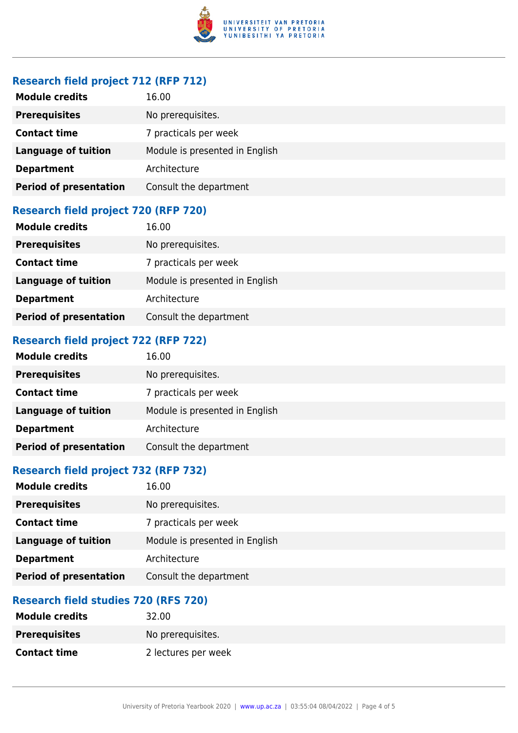

#### **Research field project 712 (RFP 712)**

| <b>Module credits</b>         | 16.00                          |
|-------------------------------|--------------------------------|
| <b>Prerequisites</b>          | No prerequisites.              |
| <b>Contact time</b>           | 7 practicals per week          |
| <b>Language of tuition</b>    | Module is presented in English |
| <b>Department</b>             | Architecture                   |
| <b>Period of presentation</b> | Consult the department         |

#### **Research field project 720 (RFP 720)**

| <b>Module credits</b>         | 16.00                          |
|-------------------------------|--------------------------------|
| <b>Prerequisites</b>          | No prerequisites.              |
| <b>Contact time</b>           | 7 practicals per week          |
| <b>Language of tuition</b>    | Module is presented in English |
| <b>Department</b>             | Architecture                   |
| <b>Period of presentation</b> | Consult the department         |

### **Research field project 722 (RFP 722)**

| <b>Module credits</b>         | 16.00                          |
|-------------------------------|--------------------------------|
| <b>Prerequisites</b>          | No prerequisites.              |
| <b>Contact time</b>           | 7 practicals per week          |
| <b>Language of tuition</b>    | Module is presented in English |
| <b>Department</b>             | Architecture                   |
| <b>Period of presentation</b> | Consult the department         |

#### **Research field project 732 (RFP 732)**

| <b>Module credits</b>         | 16.00                          |
|-------------------------------|--------------------------------|
| <b>Prerequisites</b>          | No prerequisites.              |
| <b>Contact time</b>           | 7 practicals per week          |
| <b>Language of tuition</b>    | Module is presented in English |
| <b>Department</b>             | Architecture                   |
| <b>Period of presentation</b> | Consult the department         |

### **Research field studies 720 (RFS 720)**

| <b>Module credits</b> | 32.00               |
|-----------------------|---------------------|
| <b>Prerequisites</b>  | No prerequisites.   |
| <b>Contact time</b>   | 2 lectures per week |